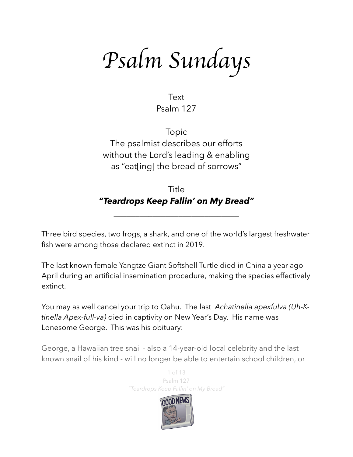*Psalm Sundays*

Text Psalm 127

Topic The psalmist describes our efforts without the Lord's leading & enabling as "eat[ing] the bread of sorrows"

# Title *"Teardrops Keep Fallin' on My Bread"*

\_\_\_\_\_\_\_\_\_\_\_\_\_\_\_\_\_\_\_\_\_\_\_\_\_\_\_\_\_

Three bird species, two frogs, a shark, and one of the world's largest freshwater fish were among those declared extinct in 2019.

The last known female Yangtze Giant Softshell Turtle died in China a year ago April during an artificial insemination procedure, making the species effectively extinct.

You may as well cancel your trip to Oahu. The last *Achatinella apexfulva (Uh-Ktinella Apex-full-va)* died in captivity on New Year's Day. His name was Lonesome George. This was his obituary:

George, a Hawaiian tree snail - also a 14-year-old local celebrity and the last known snail of his kind - will no longer be able to entertain school children, or

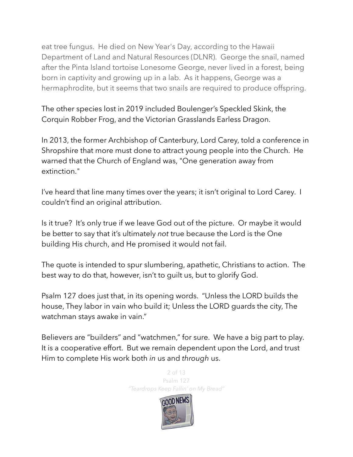eat tree fungus. He died on New Year's Day, according to the Hawaii Department of Land and Natural Resources (DLNR). George the snail, named after the Pinta Island tortoise [Lonesome George](https://en.wikipedia.org/wiki/Lonesome_George), never lived in a forest, being born in captivity and growing up in a lab. As it happens, George was a hermaphrodite, but it seems that two snails are required to produce offspring.

The other species lost in 2019 included Boulenger's Speckled Skink, the Corquin Robber Frog, and the Victorian Grasslands Earless Dragon.

In 2013, the former Archbishop of Canterbury, Lord Carey, told a conference in Shropshire that more must done to attract young people into the Church. He warned that the Church of England was, "One generation away from extinction."

I've heard that line many times over the years; it isn't original to Lord Carey. I couldn't find an original attribution.

Is it true? It's only true if we leave God out of the picture. Or maybe it would be better to say that it's ultimately *not* true because the Lord is the One building His church, and He promised it would not fail.

The quote is intended to spur slumbering, apathetic, Christians to action. The best way to do that, however, isn't to guilt us, but to glorify God.

Psalm 127 does just that, in its opening words. "Unless the LORD builds the house, They labor in vain who build it; Unless the LORD guards the city, The watchman stays awake in vain."

Believers are "builders" and "watchmen," for sure. We have a big part to play. It is a cooperative effort. But we remain dependent upon the Lord, and trust Him to complete His work both *in* us and *through* us.

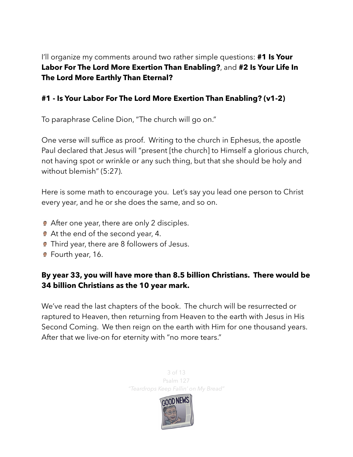I'll organize my comments around two rather simple questions: **#1 Is Your Labor For The Lord More Exertion Than Enabling?**, and **#2 Is Your Life In The Lord More Earthly Than Eternal?** 

### **#1 - Is Your Labor For The Lord More Exertion Than Enabling? (v1-2)**

To paraphrase Celine Dion, "The church will go on."

One verse will suffice as proof. Writing to the church in Ephesus, the apostle Paul declared that Jesus will "present [the church] to Himself a glorious church, not having spot or wrinkle or any such thing, but that she should be holy and without blemish" (5:27).

Here is some math to encourage you. Let's say you lead one person to Christ every year, and he or she does the same, and so on.

- **■** After one year, there are only 2 disciples.
- At the end of the second year, 4.
- **Third year, there are 8 followers of Jesus.**
- **P** Fourth year, 16.

## **By year 33, you will have more than 8.5 billion Christians. There would be 34 billion Christians as the 10 year mark.**

We've read the last chapters of the book. The church will be resurrected or raptured to Heaven, then returning from Heaven to the earth with Jesus in His Second Coming. We then reign on the earth with Him for one thousand years. After that we live-on for eternity with "no more tears."

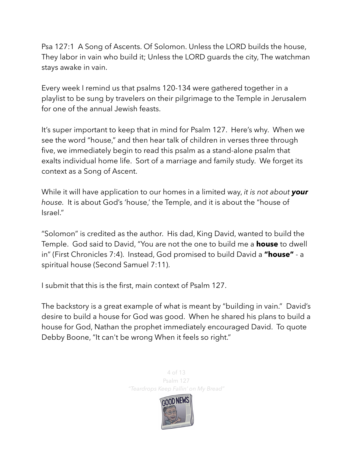Psa 127:1 A Song of Ascents. Of Solomon. Unless the LORD builds the house, They labor in vain who build it; Unless the LORD guards the city, The watchman stays awake in vain.

Every week I remind us that psalms 120-134 were gathered together in a playlist to be sung by travelers on their pilgrimage to the Temple in Jerusalem for one of the annual Jewish feasts.

It's super important to keep that in mind for Psalm 127. Here's why. When we see the word "house," and then hear talk of children in verses three through five, we immediately begin to read this psalm as a stand-alone psalm that exalts individual home life. Sort of a marriage and family study. We forget its context as a Song of Ascent.

While it will have application to our homes in a limited way, *it is not about your house.* It is about God's 'house,' the Temple, and it is about the "house of Israel."

"Solomon" is credited as the author. His dad, King David, wanted to build the Temple. God said to David, "You are not the one to build me a **house** to dwell in" (First Chronicles 7:4). Instead, God promised to build David a **"house"** - a spiritual house (Second Samuel 7:11).

I submit that this is the first, main context of Psalm 127.

The backstory is a great example of what is meant by "building in vain." David's desire to build a house for God was good. When he shared his plans to build a house for God, Nathan the prophet immediately encouraged David. To quote Debby Boone, "It can't be wrong When it feels so right."

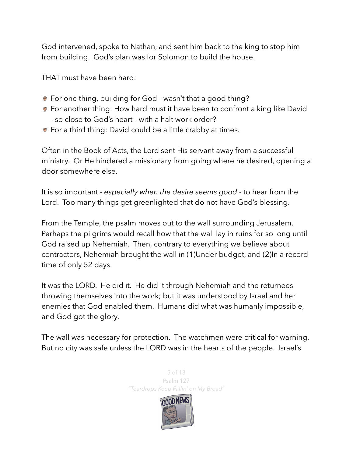God intervened, spoke to Nathan, and sent him back to the king to stop him from building. God's plan was for Solomon to build the house.

THAT must have been hard:

- For one thing, building for God wasn't that a good thing?
- **•** For another thing: How hard must it have been to confront a king like David - so close to God's heart - with a halt work order?
- **■** For a third thing: David could be a little crabby at times.

Often in the Book of Acts, the Lord sent His servant away from a successful ministry. Or He hindered a missionary from going where he desired, opening a door somewhere else.

It is so important - *especially when the desire seems good* - to hear from the Lord. Too many things get greenlighted that do not have God's blessing.

From the Temple, the psalm moves out to the wall surrounding Jerusalem. Perhaps the pilgrims would recall how that the wall lay in ruins for so long until God raised up Nehemiah. Then, contrary to everything we believe about contractors, Nehemiah brought the wall in (1)Under budget, and (2)In a record time of only 52 days.

It was the LORD. He did it. He did it through Nehemiah and the returnees throwing themselves into the work; but it was understood by Israel and her enemies that God enabled them. Humans did what was humanly impossible, and God got the glory.

The wall was necessary for protection. The watchmen were critical for warning. But no city was safe unless the LORD was in the hearts of the people. Israel's

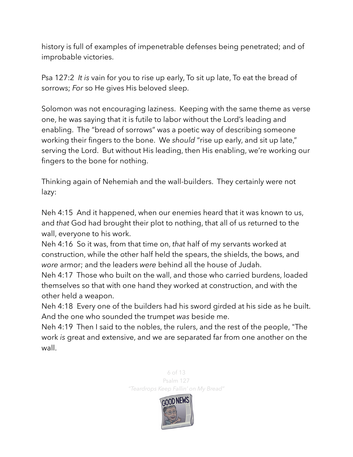history is full of examples of impenetrable defenses being penetrated; and of improbable victories.

Psa 127:2 *It is* vain for you to rise up early, To sit up late, To eat the bread of sorrows; *For* so He gives His beloved sleep.

Solomon was not encouraging laziness. Keeping with the same theme as verse one, he was saying that it is futile to labor without the Lord's leading and enabling. The "bread of sorrows" was a poetic way of describing someone working their fingers to the bone. We should "rise up early, and sit up late," serving the Lord. But without His leading, then His enabling, we're working our fingers to the bone for nothing.

Thinking again of Nehemiah and the wall-builders. They certainly were not lazy:

Neh 4:15 And it happened, when our enemies heard that it was known to us, and *that* God had brought their plot to nothing, that all of us returned to the wall, everyone to his work.

Neh 4:16 So it was, from that time on, *that* half of my servants worked at construction, while the other half held the spears, the shields, the bows, and *wore* armor; and the leaders *were* behind all the house of Judah.

Neh 4:17 Those who built on the wall, and those who carried burdens, loaded themselves so that with one hand they worked at construction, and with the other held a weapon.

Neh 4:18 Every one of the builders had his sword girded at his side as he built. And the one who sounded the trumpet *was* beside me.

Neh 4:19 Then I said to the nobles, the rulers, and the rest of the people, "The work *is* great and extensive, and we are separated far from one another on the wall.

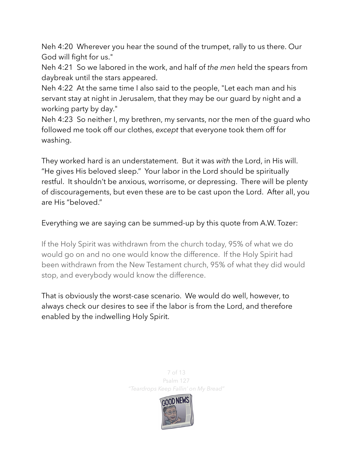Neh 4:20 Wherever you hear the sound of the trumpet, rally to us there. Our God will fight for us."

Neh 4:21 So we labored in the work, and half of *the men* held the spears from daybreak until the stars appeared.

Neh 4:22 At the same time I also said to the people, "Let each man and his servant stay at night in Jerusalem, that they may be our guard by night and a working party by day."

Neh 4:23 So neither I, my brethren, my servants, nor the men of the guard who followed me took off our clothes, *except* that everyone took them off for washing.

They worked hard is an understatement. But it was *with* the Lord, in His will. "He gives His beloved sleep." Your labor in the Lord should be spiritually restful. It shouldn't be anxious, worrisome, or depressing. There will be plenty of discouragements, but even these are to be cast upon the Lord. After all, you are His "beloved."

Everything we are saying can be summed-up by this quote from A.W. Tozer:

If the Holy Spirit was withdrawn from the church today, 95% of what we do would go on and no one would know the difference. If the Holy Spirit had been withdrawn from the New Testament church, 95% of what they did would stop, and everybody would know the difference.

That is obviously the worst-case scenario. We would do well, however, to always check our desires to see if the labor is from the Lord, and therefore enabled by the indwelling Holy Spirit.

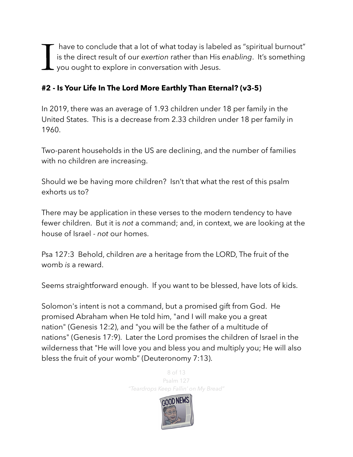I have to conclude that a lot of what today is labeled as "spiritual burnout" is the direct result of our *exertion* rather than His *enabling*. It's something you ought to explore in conversation with Jesus.

## **#2 - Is Your Life In The Lord More Earthly Than Eternal? (v3-5)**

In 2019, there was an average of 1.93 children under 18 per family in the United States. This is a decrease from 2.33 children under 18 per family in 1960.

Two-parent households in the US are declining, and the number of families with no children are increasing.

Should we be having more children? Isn't that what the rest of this psalm exhorts us to?

There may be application in these verses to the modern tendency to have fewer children. But it is *not* a command; and, in context, we are looking at the house of Israel - *not* our homes.

Psa 127:3 Behold, children *are* a heritage from the LORD, The fruit of the womb *is* a reward.

Seems straightforward enough. If you want to be blessed, have lots of kids.

Solomon's intent is not a command, but a promised gift from God. He promised Abraham when He told him, "and I will make you a great nation" (Genesis 12:2), and "you will be the father of a multitude of nations" (Genesis 17:9). Later the Lord promises the children of Israel in the wilderness that "He will love you and bless you and multiply you; He will also bless the fruit of your womb" (Deuteronomy 7:13).

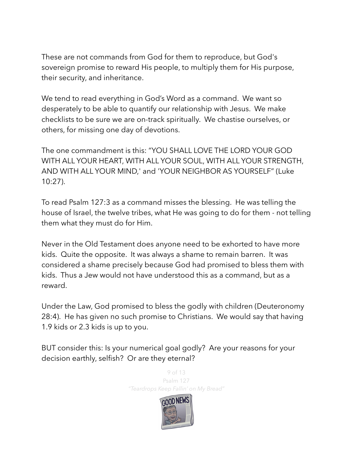These are not commands from God for them to reproduce, but God's sovereign promise to reward His people, to multiply them for His purpose, their security, and inheritance.

We tend to read everything in God's Word as a command. We want so desperately to be able to quantify our relationship with Jesus. We make checklists to be sure we are on-track spiritually. We chastise ourselves, or others, for missing one day of devotions.

The one commandment is this: "YOU SHALL LOVE THE LORD YOUR GOD WITH ALL YOUR HEART, WITH ALL YOUR SOUL, WITH ALL YOUR STRENGTH, AND WITH ALL YOUR MIND,' and 'YOUR NEIGHBOR AS YOURSELF" (Luke 10:27).

To read Psalm 127:3 as a command misses the blessing. He was telling the house of Israel, the twelve tribes, what He was going to do for them - not telling them what they must do for Him.

Never in the Old Testament does anyone need to be exhorted to have more kids. Quite the opposite. It was always a shame to remain barren. It was considered a shame precisely because God had promised to bless them with kids. Thus a Jew would not have understood this as a command, but as a reward.

Under the Law, God promised to bless the godly with children (Deuteronomy 28:4). He has given no such promise to Christians. We would say that having 1.9 kids or 2.3 kids is up to you.

BUT consider this: Is your numerical goal godly? Are your reasons for your decision earthly, selfish? Or are they eternal?

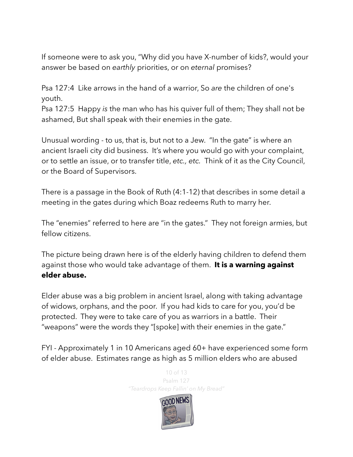If someone were to ask you, "Why did you have X-number of kids?, would your answer be based on *earthly* priorities, or on *eternal* promises?

Psa 127:4 Like arrows in the hand of a warrior, So *are* the children of one's youth.

Psa 127:5 Happy *is* the man who has his quiver full of them; They shall not be ashamed, But shall speak with their enemies in the gate.

Unusual wording - to us, that is, but not to a Jew. "In the gate" is where an ancient Israeli city did business. It's where you would go with your complaint, or to settle an issue, or to transfer title, *etc., etc.* Think of it as the City Council, or the Board of Supervisors.

There is a passage in the Book of Ruth (4:1-12) that describes in some detail a meeting in the gates during which Boaz redeems Ruth to marry her.

The "enemies" referred to here are "in the gates." They not foreign armies, but fellow citizens.

The picture being drawn here is of the elderly having children to defend them against those who would take advantage of them. **It is a warning against elder abuse.** 

Elder abuse was a big problem in ancient Israel, along with taking advantage of widows, orphans, and the poor. If you had kids to care for you, you'd be protected. They were to take care of you as warriors in a battle. Their "weapons" were the words they "[spoke] with their enemies in the gate."

FYI - Approximately [1 in 10 Americans aged 60+](https://ncea.acl.gov/whatwedo/research/statistics.html#prevalence) have experienced some form of [elder abuse.](https://www.youtube.com/watch?v=-eaJXBj87to&feature=youtu.be) Estimates range as high as 5 million elders who are abused

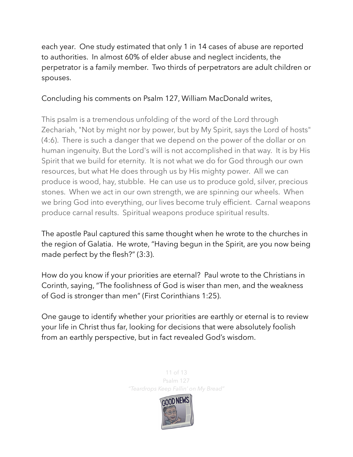each year. One study estimated that [only 1 in 14](http://www.ncbi.nlm.nih.gov/books/NBK98802/) cases of abuse are reported to authorities. In almost [60%](https://ncea.acl.gov/whatwedo/research/statistics.html#perpetrators) of elder abuse and neglect incidents, the perpetrator is a family member. Two thirds of perpetrators are adult children or spouses.

### Concluding his comments on Psalm 127, William MacDonald writes,

This psalm is a tremendous unfolding of the word of the Lord through Zechariah, "Not by might nor by power, but by My Spirit, says the Lord of hosts" (4:6). There is such a danger that we depend on the power of the dollar or on human ingenuity. But the Lord's will is not accomplished in that way. It is by His Spirit that we build for eternity. It is not what we do for God through our own resources, but what He does through us by His mighty power. All we can produce is wood, hay, stubble. He can use us to produce gold, silver, precious stones. When we act in our own strength, we are spinning our wheels. When we bring God into everything, our lives become truly efficient. Carnal weapons produce carnal results. Spiritual weapons produce spiritual results.

The apostle Paul captured this same thought when he wrote to the churches in the region of Galatia. He wrote, "Having begun in the Spirit, are you now being made perfect by the flesh?" (3:3).

How do you know if your priorities are eternal? Paul wrote to the Christians in Corinth, saying, "The foolishness of God is wiser than men, and the weakness of God is stronger than men" (First Corinthians 1:25).

One gauge to identify whether your priorities are earthly or eternal is to review your life in Christ thus far, looking for decisions that were absolutely foolish from an earthly perspective, but in fact revealed God's wisdom.

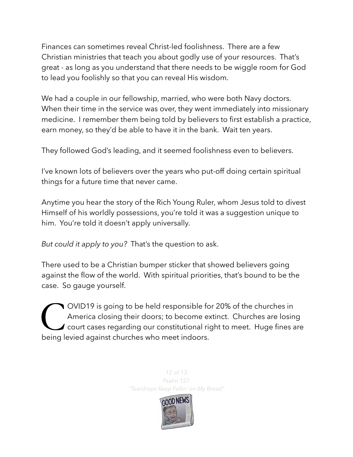Finances can sometimes reveal Christ-led foolishness. There are a few Christian ministries that teach you about godly use of your resources. That's great - as long as you understand that there needs to be wiggle room for God to lead you foolishly so that you can reveal His wisdom.

We had a couple in our fellowship, married, who were both Navy doctors. When their time in the service was over, they went immediately into missionary medicine. I remember them being told by believers to first establish a practice, earn money, so they'd be able to have it in the bank. Wait ten years.

They followed God's leading, and it seemed foolishness even to believers.

I've known lots of believers over the years who put-off doing certain spiritual things for a future time that never came.

Anytime you hear the story of the Rich Young Ruler, whom Jesus told to divest Himself of his worldly possessions, you're told it was a suggestion unique to him. You're told it doesn't apply universally.

*But could it apply to you?* That's the question to ask.

There used to be a Christian bumper sticker that showed believers going against the flow of the world. With spiritual priorities, that's bound to be the case. So gauge yourself.

C OVID19 is going to be held responsible for 20% of the churches in<br>America closing their doors; to become extinct. Churches are losing<br>court cases regarding our constitutional right to meet. Huge fines a<br>being levied agai America closing their doors; to become extinct. Churches are losing  $\prime$  court cases regarding our constitutional right to meet. Huge fines are being levied against churches who meet indoors.